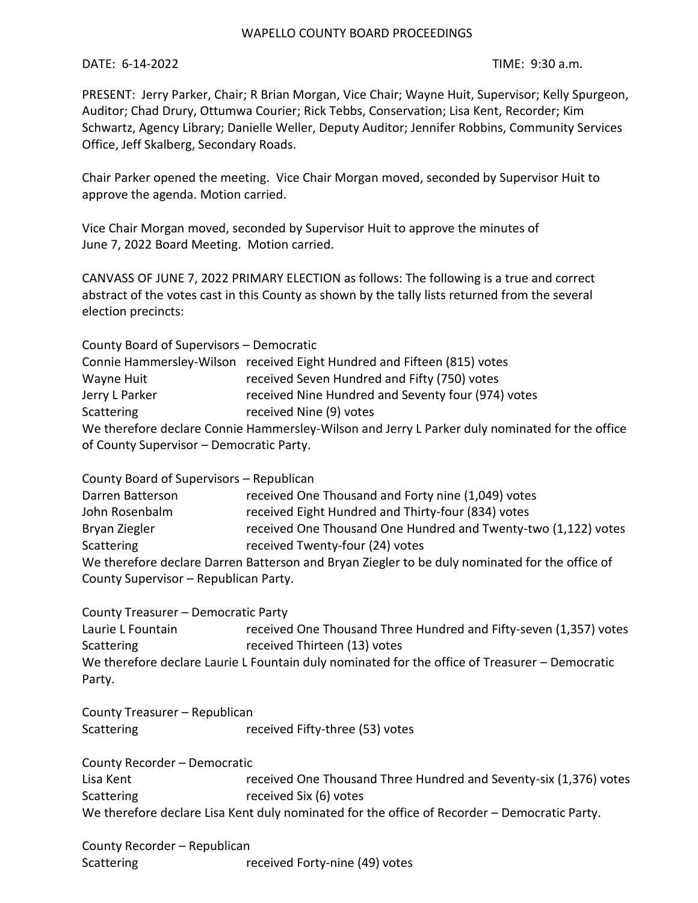## WAPELLO COUNTY BOARD PROCEEDINGS

## DATE: 6-14-2022 TIME: 9:30 a.m.

PRESENT: Jerry Parker, Chair; R Brian Morgan, Vice Chair; Wayne Huit, Supervisor; Kelly Spurgeon, Auditor; Chad Drury, Ottumwa Courier; Rick Tebbs, Conservation; Lisa Kent, Recorder; Kim Schwartz, Agency Library; Danielle Weller, Deputy Auditor; Jennifer Robbins, Community Services Office, Jeff Skalberg, Secondary Roads.

Chair Parker opened the meeting. Vice Chair Morgan moved, seconded by Supervisor Huit to approve the agenda. Motion carried.

Vice Chair Morgan moved, seconded by Supervisor Huit to approve the minutes of June 7, 2022 Board Meeting. Motion carried.

CANVASS OF JUNE 7, 2022 PRIMARY ELECTION as follows: The following is a true and correct abstract of the votes cast in this County as shown by the tally lists returned from the several election precincts:

| County Board of Supervisors - Democratic |                                                                                                |
|------------------------------------------|------------------------------------------------------------------------------------------------|
|                                          | Connie Hammersley-Wilson received Eight Hundred and Fifteen (815) votes                        |
| Wayne Huit                               | received Seven Hundred and Fifty (750) votes                                                   |
| Jerry L Parker                           | received Nine Hundred and Seventy four (974) votes                                             |
| Scattering                               | received Nine (9) votes                                                                        |
|                                          | We therefore declare Connie Hammersley-Wilson and Jerry L Parker duly nominated for the office |
| of County Supervisor - Democratic Party. |                                                                                                |

County Board of Supervisors – Republican

| Darren Batterson                                                                               | received One Thousand and Forty nine (1,049) votes             |  |
|------------------------------------------------------------------------------------------------|----------------------------------------------------------------|--|
| John Rosenbalm                                                                                 | received Eight Hundred and Thirty-four (834) votes             |  |
| Bryan Ziegler                                                                                  | received One Thousand One Hundred and Twenty-two (1,122) votes |  |
| Scattering                                                                                     | received Twenty-four (24) votes                                |  |
| We therefore declare Darren Batterson and Bryan Ziegler to be duly nominated for the office of |                                                                |  |
| County Supervisor - Republican Party.                                                          |                                                                |  |

| County Treasurer - Democratic Party                                                            |                                                                   |
|------------------------------------------------------------------------------------------------|-------------------------------------------------------------------|
| Laurie L Fountain                                                                              | received One Thousand Three Hundred and Fifty-seven (1,357) votes |
| Scattering                                                                                     | received Thirteen (13) votes                                      |
| We therefore declare Laurie L Fountain duly nominated for the office of Treasurer – Democratic |                                                                   |
| Party.                                                                                         |                                                                   |

County Treasurer – Republican Scattering received Fifty-three (53) votes

| County Recorder - Democratic                                                                 |                                                                   |
|----------------------------------------------------------------------------------------------|-------------------------------------------------------------------|
| Lisa Kent                                                                                    | received One Thousand Three Hundred and Seventy-six (1,376) votes |
| Scattering                                                                                   | received Six (6) votes                                            |
| We therefore declare Lisa Kent duly nominated for the office of Recorder – Democratic Party. |                                                                   |

County Recorder – Republican Scattering received Forty-nine (49) votes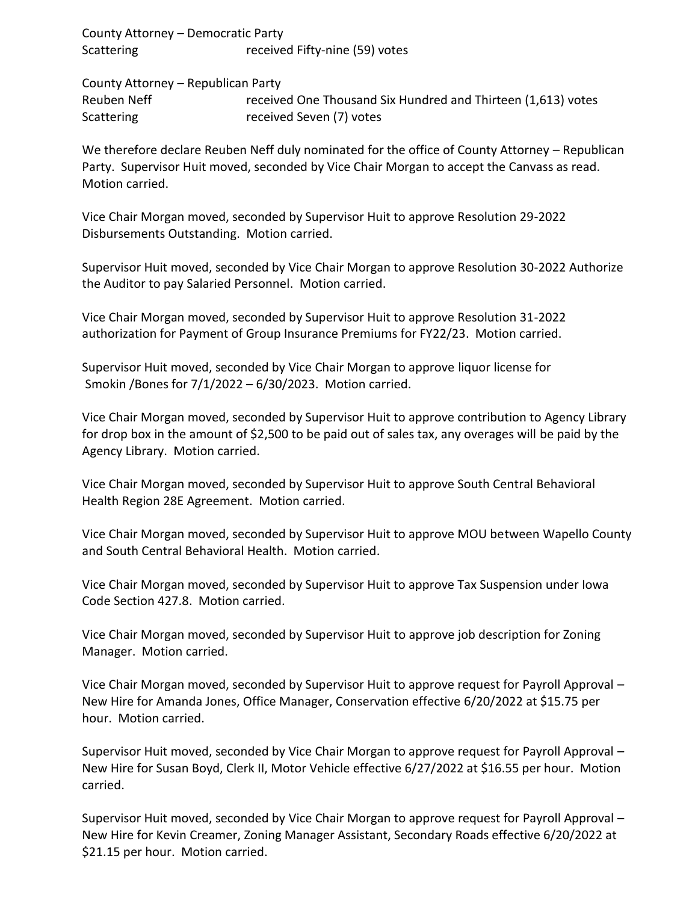County Attorney – Democratic Party Scattering received Fifty-nine (59) votes

County Attorney – Republican Party

Reuben Neff received One Thousand Six Hundred and Thirteen (1,613) votes Scattering received Seven (7) votes

We therefore declare Reuben Neff duly nominated for the office of County Attorney – Republican Party. Supervisor Huit moved, seconded by Vice Chair Morgan to accept the Canvass as read. Motion carried.

Vice Chair Morgan moved, seconded by Supervisor Huit to approve Resolution 29-2022 Disbursements Outstanding. Motion carried.

Supervisor Huit moved, seconded by Vice Chair Morgan to approve Resolution 30-2022 Authorize the Auditor to pay Salaried Personnel. Motion carried.

Vice Chair Morgan moved, seconded by Supervisor Huit to approve Resolution 31-2022 authorization for Payment of Group Insurance Premiums for FY22/23. Motion carried.

Supervisor Huit moved, seconded by Vice Chair Morgan to approve liquor license for Smokin /Bones for 7/1/2022 – 6/30/2023. Motion carried.

Vice Chair Morgan moved, seconded by Supervisor Huit to approve contribution to Agency Library for drop box in the amount of \$2,500 to be paid out of sales tax, any overages will be paid by the Agency Library. Motion carried.

Vice Chair Morgan moved, seconded by Supervisor Huit to approve South Central Behavioral Health Region 28E Agreement. Motion carried.

Vice Chair Morgan moved, seconded by Supervisor Huit to approve MOU between Wapello County and South Central Behavioral Health. Motion carried.

Vice Chair Morgan moved, seconded by Supervisor Huit to approve Tax Suspension under Iowa Code Section 427.8. Motion carried.

Vice Chair Morgan moved, seconded by Supervisor Huit to approve job description for Zoning Manager. Motion carried.

Vice Chair Morgan moved, seconded by Supervisor Huit to approve request for Payroll Approval – New Hire for Amanda Jones, Office Manager, Conservation effective 6/20/2022 at \$15.75 per hour. Motion carried.

Supervisor Huit moved, seconded by Vice Chair Morgan to approve request for Payroll Approval – New Hire for Susan Boyd, Clerk II, Motor Vehicle effective 6/27/2022 at \$16.55 per hour. Motion carried.

Supervisor Huit moved, seconded by Vice Chair Morgan to approve request for Payroll Approval – New Hire for Kevin Creamer, Zoning Manager Assistant, Secondary Roads effective 6/20/2022 at \$21.15 per hour. Motion carried.